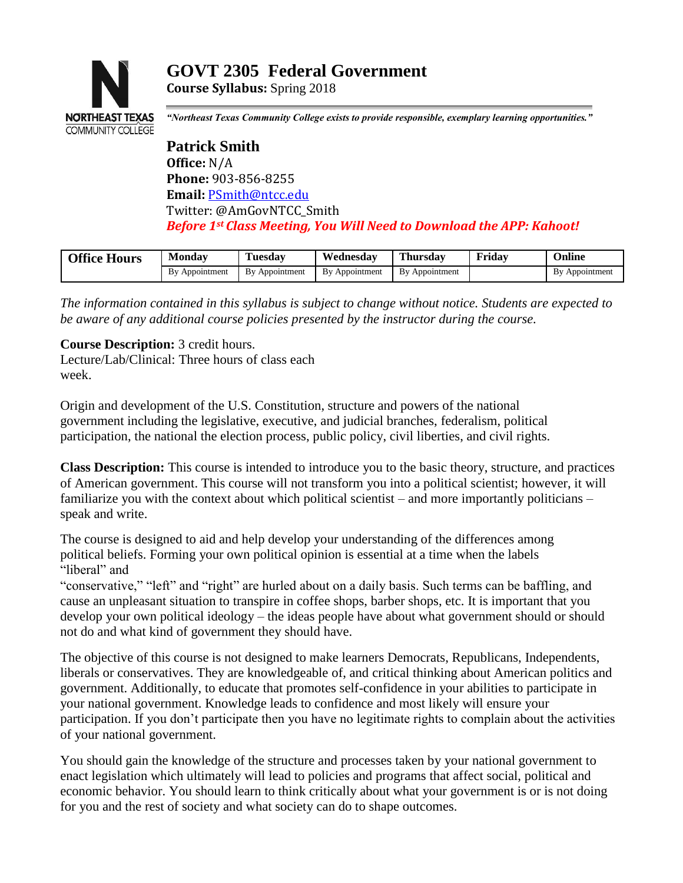

# **GOVT 2305 Federal Government Course Syllabus:** Spring 2018

*"Northeast Texas Community College exists to provide responsible, exemplary learning opportunities."*

**Patrick Smith Office:** N/A **Phone:** 903-856-8255 **Email:** [PSmith@ntcc.edu](mailto:PSmith@ntcc.edu) Twitter: @AmGovNTCC\_Smith *Before 1st Class Meeting, You Will Need to Download the APP: Kahoot!*

| <b>Office Hours</b> | Monday            | Tuesdav        | Wednesdav      | . hursdav      | Friday | Online            |
|---------------------|-------------------|----------------|----------------|----------------|--------|-------------------|
|                     | Bv<br>Appointment | By Appointment | By Appointment | By Appointment |        | Bv<br>Appointment |

*The information contained in this syllabus is subject to change without notice. Students are expected to be aware of any additional course policies presented by the instructor during the course.*

**Course Description:** 3 credit hours.

Lecture/Lab/Clinical: Three hours of class each week.

Origin and development of the U.S. Constitution, structure and powers of the national government including the legislative, executive, and judicial branches, federalism, political participation, the national the election process, public policy, civil liberties, and civil rights.

**Class Description:** This course is intended to introduce you to the basic theory, structure, and practices of American government. This course will not transform you into a political scientist; however, it will familiarize you with the context about which political scientist – and more importantly politicians – speak and write.

The course is designed to aid and help develop your understanding of the differences among political beliefs. Forming your own political opinion is essential at a time when the labels "liberal" and

"conservative," "left" and "right" are hurled about on a daily basis. Such terms can be baffling, and cause an unpleasant situation to transpire in coffee shops, barber shops, etc. It is important that you develop your own political ideology – the ideas people have about what government should or should not do and what kind of government they should have.

The objective of this course is not designed to make learners Democrats, Republicans, Independents, liberals or conservatives. They are knowledgeable of, and critical thinking about American politics and government. Additionally, to educate that promotes self-confidence in your abilities to participate in your national government. Knowledge leads to confidence and most likely will ensure your participation. If you don't participate then you have no legitimate rights to complain about the activities of your national government.

You should gain the knowledge of the structure and processes taken by your national government to enact legislation which ultimately will lead to policies and programs that affect social, political and economic behavior. You should learn to think critically about what your government is or is not doing for you and the rest of society and what society can do to shape outcomes.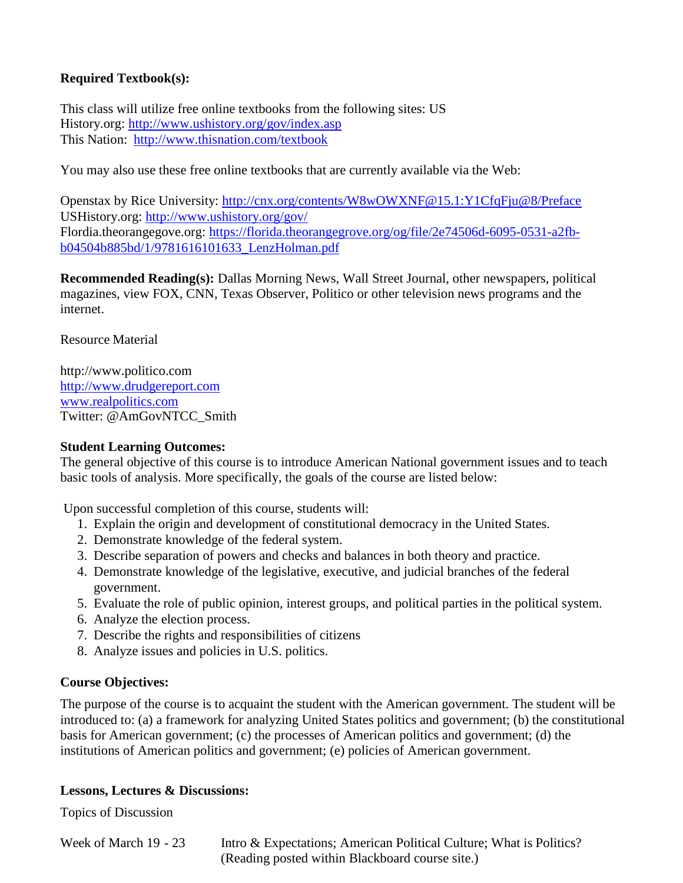## **Required Textbook(s):**

This class will utilize free online textbooks from the following sites: US History.org:<http://www.ushistory.org/gov/index.asp> This Nation: <http://www.thisnation.com/textbook>

You may also use these free online textbooks that are currently available via the Web:

Openstax by Rice University: http://cnx.org/contents/W8wOWXNF@15.1:Y1CfqFju@8/Preface USHistory.org:<http://www.ushistory.org/gov/> Flordia.theorangegove.org: [https://florida.theorangegrove.org/og/file/2e74506d-6095-0531-a2fb](https://florida.theorangegrove.org/og/file/2e74506d-6095-0531-a2fb-b04504b885bd/1/9781616101633_LenzHolman.pdf)[b04504b885bd/1/9781616101633\\_LenzHolman.pdf](https://florida.theorangegrove.org/og/file/2e74506d-6095-0531-a2fb-b04504b885bd/1/9781616101633_LenzHolman.pdf)

**Recommended Reading(s):** Dallas Morning News, Wall Street Journal, other newspapers, political magazines, view FOX, CNN, Texas Observer, Politico or other television news programs and the internet.

Resource Material

[http://www.politico.com](http://www.politico.com/) [http://www.drudgereport.com](http://www.drudgereport.com/) [www.realpolitics.com](http://www.realpolitics.com/) Twitter: @AmGovNTCC\_Smith

#### **Student Learning Outcomes:**

The general objective of this course is to introduce American National government issues and to teach basic tools of analysis. More specifically, the goals of the course are listed below:

Upon successful completion of this course, students will:

- 1. Explain the origin and development of constitutional democracy in the United States.
- 2. Demonstrate knowledge of the federal system.
- 3. Describe separation of powers and checks and balances in both theory and practice.
- 4. Demonstrate knowledge of the legislative, executive, and judicial branches of the federal government.
- 5. Evaluate the role of public opinion, interest groups, and political parties in the political system.
- 6. Analyze the election process.
- 7. Describe the rights and responsibilities of citizens
- 8. Analyze issues and policies in U.S. politics.

#### **Course Objectives:**

The purpose of the course is to acquaint the student with the American government. The student will be introduced to: (a) a framework for analyzing United States politics and government; (b) the constitutional basis for American government; (c) the processes of American politics and government; (d) the institutions of American politics and government; (e) policies of American government.

#### **Lessons, Lectures & Discussions:**

Topics of Discussion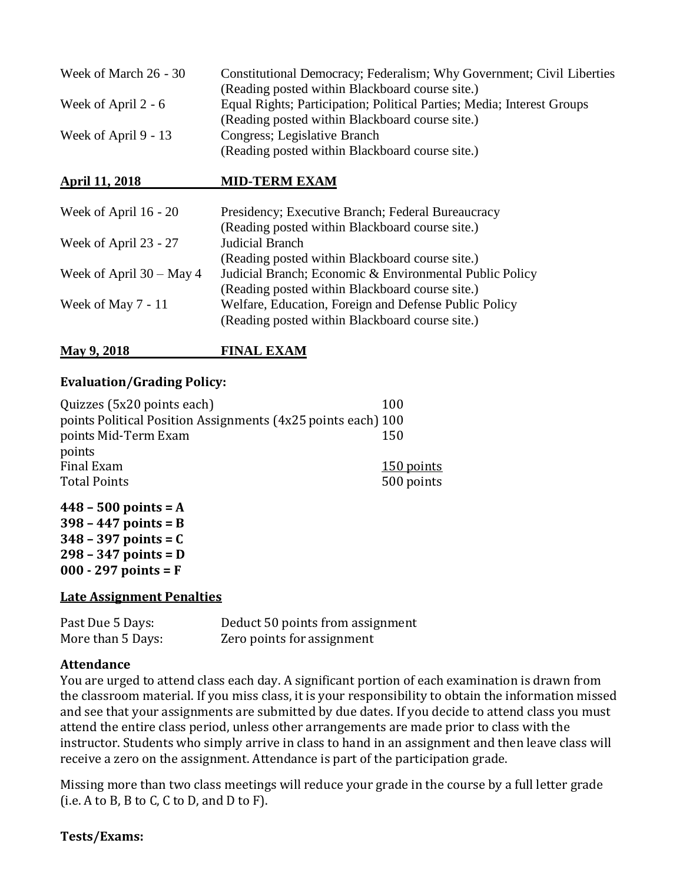| Week of March 26 - 30 | Constitutional Democracy; Federalism; Why Government; Civil Liberties  |
|-----------------------|------------------------------------------------------------------------|
|                       | (Reading posted within Blackboard course site.)                        |
| Week of April $2 - 6$ | Equal Rights; Participation; Political Parties; Media; Interest Groups |
|                       | (Reading posted within Blackboard course site.)                        |
| Week of April 9 - 13  | Congress; Legislative Branch                                           |
|                       | (Reading posted within Blackboard course site.)                        |

#### **April 11, 2018 MID-TERM EXAM**

| Presidency; Executive Branch; Federal Bureaucracy       |
|---------------------------------------------------------|
| (Reading posted within Blackboard course site.)         |
| Judicial Branch                                         |
| (Reading posted within Blackboard course site.)         |
| Judicial Branch; Economic & Environmental Public Policy |
| (Reading posted within Blackboard course site.)         |
| Welfare, Education, Foreign and Defense Public Policy   |
| (Reading posted within Blackboard course site.)         |
|                                                         |

## **May 9, 2018 FINAL EXAM**

#### **Evaluation/Grading Policy:**

| Quizzes (5x20 points each)<br>100                            |            |
|--------------------------------------------------------------|------------|
| points Political Position Assignments (4x25 points each) 100 |            |
| points Mid-Term Exam<br>150                                  |            |
| points                                                       |            |
| Final Exam                                                   | 150 points |
| <b>Total Points</b>                                          | 500 points |

**– 500 points = A – 447 points = B – 397 points = C – 347 points = D 000 - 297 points = F**

#### **Late Assignment Penalties**

| Past Due 5 Days:  | Deduct 50 points from assignment |
|-------------------|----------------------------------|
| More than 5 Days: | Zero points for assignment       |

#### **Attendance**

You are urged to attend class each day. A significant portion of each examination is drawn from the classroom material. If you miss class, it is your responsibility to obtain the information missed and see that your assignments are submitted by due dates. If you decide to attend class you must attend the entire class period, unless other arrangements are made prior to class with the instructor. Students who simply arrive in class to hand in an assignment and then leave class will receive a zero on the assignment. Attendance is part of the participation grade.

Missing more than two class meetings will reduce your grade in the course by a full letter grade  $(i.e. A to B, B to C, C to D, and D to F).$ 

#### **Tests/Exams:**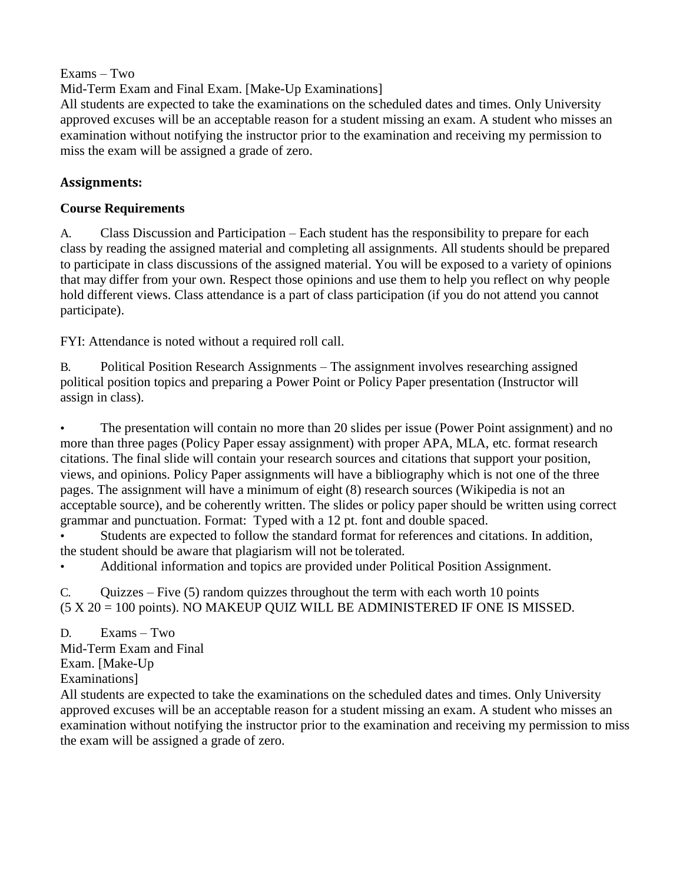## Exams – Two

Mid-Term Exam and Final Exam. [Make-Up Examinations]

All students are expected to take the examinations on the scheduled dates and times. Only University approved excuses will be an acceptable reason for a student missing an exam. A student who misses an examination without notifying the instructor prior to the examination and receiving my permission to miss the exam will be assigned a grade of zero.

## **Assignments:**

## **Course Requirements**

A. Class Discussion and Participation – Each student has the responsibility to prepare for each class by reading the assigned material and completing all assignments. All students should be prepared to participate in class discussions of the assigned material. You will be exposed to a variety of opinions that may differ from your own. Respect those opinions and use them to help you reflect on why people hold different views. Class attendance is a part of class participation (if you do not attend you cannot participate).

FYI: Attendance is noted without a required roll call.

B. Political Position Research Assignments – The assignment involves researching assigned political position topics and preparing a Power Point or Policy Paper presentation (Instructor will assign in class).

• The presentation will contain no more than 20 slides per issue (Power Point assignment) and no more than three pages (Policy Paper essay assignment) with proper APA, MLA, etc. format research citations. The final slide will contain your research sources and citations that support your position, views, and opinions. Policy Paper assignments will have a bibliography which is not one of the three pages. The assignment will have a minimum of eight (8) research sources (Wikipedia is not an acceptable source), and be coherently written. The slides or policy paper should be written using correct grammar and punctuation. Format: Typed with a 12 pt. font and double spaced.

• Students are expected to follow the standard format for references and citations. In addition, the student should be aware that plagiarism will not be tolerated.

• Additional information and topics are provided under Political Position Assignment.

C. Quizzes – Five (5) random quizzes throughout the term with each worth 10 points (5 X 20 = 100 points). NO MAKEUP QUIZ WILL BE ADMINISTERED IF ONE IS MISSED.

D. Exams – Two Mid-Term Exam and Final Exam. [Make-Up Examinations]

All students are expected to take the examinations on the scheduled dates and times. Only University approved excuses will be an acceptable reason for a student missing an exam. A student who misses an examination without notifying the instructor prior to the examination and receiving my permission to miss the exam will be assigned a grade of zero.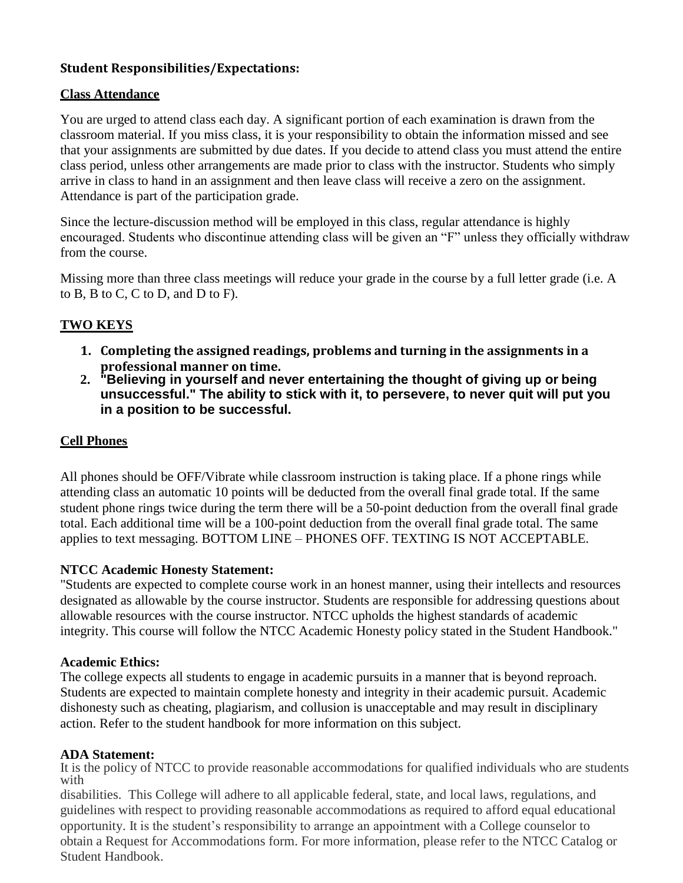## **Student Responsibilities/Expectations:**

### **Class Attendance**

You are urged to attend class each day. A significant portion of each examination is drawn from the classroom material. If you miss class, it is your responsibility to obtain the information missed and see that your assignments are submitted by due dates. If you decide to attend class you must attend the entire class period, unless other arrangements are made prior to class with the instructor. Students who simply arrive in class to hand in an assignment and then leave class will receive a zero on the assignment. Attendance is part of the participation grade.

Since the lecture-discussion method will be employed in this class, regular attendance is highly encouraged. Students who discontinue attending class will be given an "F" unless they officially withdraw from the course.

Missing more than three class meetings will reduce your grade in the course by a full letter grade (i.e. A to B, B to C, C to D, and D to F).

## **TWO KEYS**

- **1. Completing the assigned readings, problems and turning in the assignments in a professional manner on time.**
- **2. "Believing in yourself and never entertaining the thought of giving up or being unsuccessful." The ability to stick with it, to persevere, to never quit will put you in a position to be successful.**

#### **Cell Phones**

All phones should be OFF/Vibrate while classroom instruction is taking place. If a phone rings while attending class an automatic 10 points will be deducted from the overall final grade total. If the same student phone rings twice during the term there will be a 50-point deduction from the overall final grade total. Each additional time will be a 100-point deduction from the overall final grade total. The same applies to text messaging. BOTTOM LINE – PHONES OFF. TEXTING IS NOT ACCEPTABLE.

#### **NTCC Academic Honesty Statement:**

"Students are expected to complete course work in an honest manner, using their intellects and resources designated as allowable by the course instructor. Students are responsible for addressing questions about allowable resources with the course instructor. NTCC upholds the highest standards of academic integrity. This course will follow the NTCC Academic Honesty policy stated in the Student Handbook."

#### **Academic Ethics:**

The college expects all students to engage in academic pursuits in a manner that is beyond reproach. Students are expected to maintain complete honesty and integrity in their academic pursuit. Academic dishonesty such as cheating, plagiarism, and collusion is unacceptable and may result in disciplinary action. Refer to the student handbook for more information on this subject.

#### **ADA Statement:**

It is the policy of NTCC to provide reasonable accommodations for qualified individuals who are students with

disabilities. This College will adhere to all applicable federal, state, and local laws, regulations, and guidelines with respect to providing reasonable accommodations as required to afford equal educational opportunity. It is the student's responsibility to arrange an appointment with a College counselor to obtain a Request for Accommodations form. For more information, please refer to the NTCC Catalog or Student Handbook.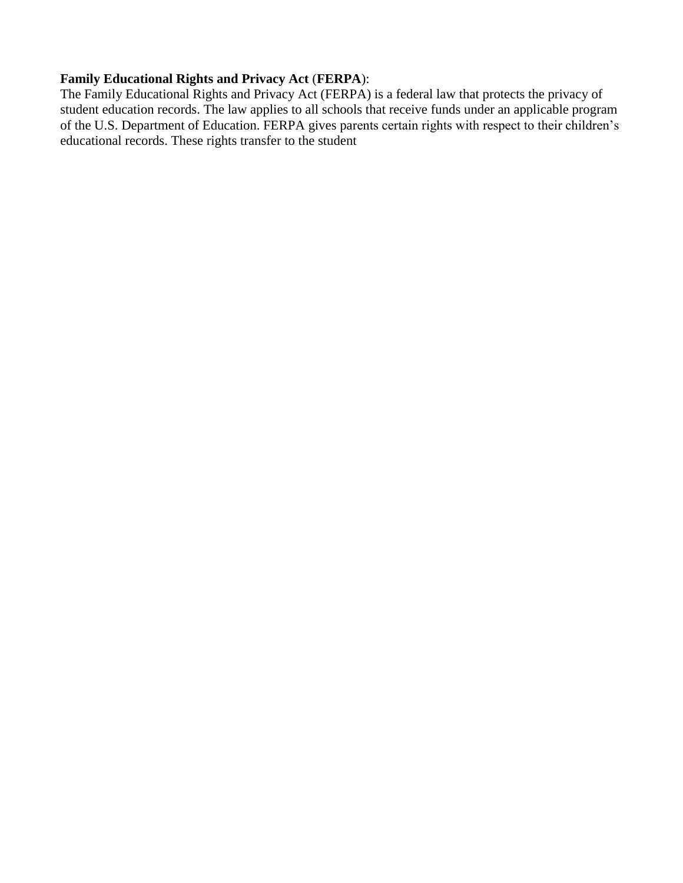## **Family Educational Rights and Privacy Act** (**FERPA**):

The Family Educational Rights and Privacy Act (FERPA) is a federal law that protects the privacy of student education records. The law applies to all schools that receive funds under an applicable program of the U.S. Department of Education. FERPA gives parents certain rights with respect to their children's educational records. These rights transfer to the student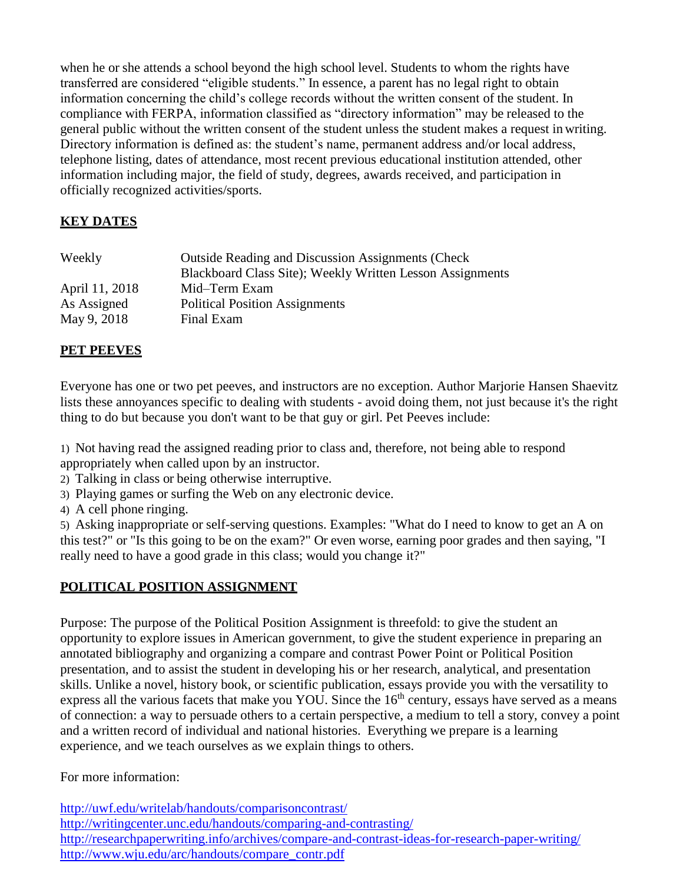when he or she attends a school beyond the high school level. Students to whom the rights have transferred are considered "eligible students." In essence, a parent has no legal right to obtain information concerning the child's college records without the written consent of the student. In compliance with FERPA, information classified as "directory information" may be released to the general public without the written consent of the student unless the student makes a request in writing. Directory information is defined as: the student's name, permanent address and/or local address, telephone listing, dates of attendance, most recent previous educational institution attended, other information including major, the field of study, degrees, awards received, and participation in officially recognized activities/sports.

## **KEY DATES**

| Weekly         | <b>Outside Reading and Discussion Assignments (Check)</b><br>Blackboard Class Site); Weekly Written Lesson Assignments |
|----------------|------------------------------------------------------------------------------------------------------------------------|
| April 11, 2018 | Mid-Term Exam                                                                                                          |
| As Assigned    | <b>Political Position Assignments</b>                                                                                  |
| May 9, 2018    | Final Exam                                                                                                             |

## **PET PEEVES**

Everyone has one or two pet peeves, and instructors are no exception. Author Marjorie Hansen Shaevitz lists these annoyances specific to dealing with students - avoid doing them, not just because it's the right thing to do but because you don't want to be that guy or girl. Pet Peeves include:

1) Not having read the assigned reading prior to class and, therefore, not being able to respond appropriately when called upon by an instructor.

- 2) Talking in class or being otherwise interruptive.
- 3) Playing games or surfing the Web on any electronic device.
- 4) A cell phone ringing.

5) Asking inappropriate or self-serving questions. Examples: "What do I need to know to get an A on this test?" or "Is this going to be on the exam?" Or even worse, earning poor grades and then saying, "I really need to have a good grade in this class; would you change it?"

## **POLITICAL POSITION ASSIGNMENT**

Purpose: The purpose of the Political Position Assignment is threefold: to give the student an opportunity to explore issues in American government, to give the student experience in preparing an annotated bibliography and organizing a compare and contrast Power Point or Political Position presentation, and to assist the student in developing his or her research, analytical, and presentation skills. Unlike a novel, history book, or scientific publication, essays provide you with the versatility to express all the various facets that make you YOU. Since the  $16<sup>th</sup>$  century, essays have served as a means of connection: a way to persuade others to a certain perspective, a medium to tell a story, convey a point and a written record of individual and national histories. Everything we prepare is a learning experience, and we teach ourselves as we explain things to others.

For more information:

<http://uwf.edu/writelab/handouts/comparisoncontrast/> <http://writingcenter.unc.edu/handouts/comparing-and-contrasting/> <http://researchpaperwriting.info/archives/compare-and-contrast-ideas-for-research-paper-writing/> [http://www.wju.edu/arc/handouts/compare\\_contr.pdf](http://www.wju.edu/arc/handouts/compare_contr.pdf)